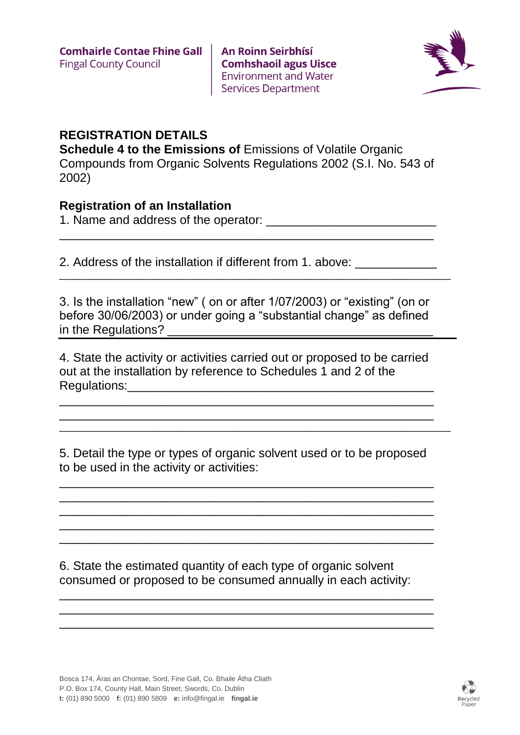**An Roinn Seirbhísí Comhshaoil agus Uisce Environment and Water Services Department** 



## **REGISTRATION DETAILS**

**Schedule 4 to the Emissions of Emissions of Volatile Organic** Compounds from Organic Solvents Regulations 2002 (S.I. No. 543 of 2002)

## **Registration of an Installation**

1. Name and address of the operator: \_\_\_\_\_\_\_\_\_\_\_\_\_\_\_\_\_\_\_\_\_\_\_\_\_

2. Address of the installation if different from 1. above: \_\_\_\_\_\_\_\_\_\_\_\_\_\_\_

3. Is the installation "new" ( on or after 1/07/2003) or "existing" (on or before 30/06/2003) or under going a "substantial change" as defined in the Regulations? \_\_\_\_\_\_\_\_\_\_\_\_\_\_\_\_\_\_\_\_\_\_\_\_\_\_\_\_\_\_\_\_\_\_\_\_\_\_\_

\_\_\_\_\_\_\_\_\_\_\_\_\_\_\_\_\_\_\_\_\_\_\_\_\_\_\_\_\_\_\_\_\_\_\_\_\_\_\_\_\_\_\_\_\_\_\_\_\_\_\_\_\_\_\_\_\_\_\_\_\_\_\_\_\_\_\_\_\_\_

\_\_\_\_\_\_\_\_\_\_\_\_\_\_\_\_\_\_\_\_\_\_\_\_\_\_\_\_\_\_\_\_\_\_\_\_\_\_\_\_\_\_\_\_\_\_\_\_\_\_\_\_\_\_\_

4. State the activity or activities carried out or proposed to be carried out at the installation by reference to Schedules 1 and 2 of the Regulations:\_\_\_\_\_\_\_\_\_\_\_\_\_\_\_\_\_\_\_\_\_\_\_\_\_\_\_\_\_\_\_\_\_\_\_\_\_\_\_\_\_\_\_\_\_

\_\_\_\_\_\_\_\_\_\_\_\_\_\_\_\_\_\_\_\_\_\_\_\_\_\_\_\_\_\_\_\_\_\_\_\_\_\_\_\_\_\_\_\_\_\_\_\_\_\_\_\_\_\_\_ \_\_\_\_\_\_\_\_\_\_\_\_\_\_\_\_\_\_\_\_\_\_\_\_\_\_\_\_\_\_\_\_\_\_\_\_\_\_\_\_\_\_\_\_\_\_\_\_\_\_\_\_\_\_\_ \_\_\_\_\_\_\_\_\_\_\_\_\_\_\_\_\_\_\_\_\_\_\_\_\_\_\_\_\_\_\_\_\_\_\_\_\_\_\_\_\_\_\_\_\_\_\_\_\_\_\_\_\_\_\_\_\_\_\_\_\_\_\_\_\_\_\_\_\_\_

5. Detail the type or types of organic solvent used or to be proposed to be used in the activity or activities:

\_\_\_\_\_\_\_\_\_\_\_\_\_\_\_\_\_\_\_\_\_\_\_\_\_\_\_\_\_\_\_\_\_\_\_\_\_\_\_\_\_\_\_\_\_\_\_\_\_\_\_\_\_\_\_ \_\_\_\_\_\_\_\_\_\_\_\_\_\_\_\_\_\_\_\_\_\_\_\_\_\_\_\_\_\_\_\_\_\_\_\_\_\_\_\_\_\_\_\_\_\_\_\_\_\_\_\_\_\_\_ \_\_\_\_\_\_\_\_\_\_\_\_\_\_\_\_\_\_\_\_\_\_\_\_\_\_\_\_\_\_\_\_\_\_\_\_\_\_\_\_\_\_\_\_\_\_\_\_\_\_\_\_\_\_\_ \_\_\_\_\_\_\_\_\_\_\_\_\_\_\_\_\_\_\_\_\_\_\_\_\_\_\_\_\_\_\_\_\_\_\_\_\_\_\_\_\_\_\_\_\_\_\_\_\_\_\_\_\_\_\_ \_\_\_\_\_\_\_\_\_\_\_\_\_\_\_\_\_\_\_\_\_\_\_\_\_\_\_\_\_\_\_\_\_\_\_\_\_\_\_\_\_\_\_\_\_\_\_\_\_\_\_\_\_\_\_

6. State the estimated quantity of each type of organic solvent consumed or proposed to be consumed annually in each activity:

\_\_\_\_\_\_\_\_\_\_\_\_\_\_\_\_\_\_\_\_\_\_\_\_\_\_\_\_\_\_\_\_\_\_\_\_\_\_\_\_\_\_\_\_\_\_\_\_\_\_\_\_\_\_\_ \_\_\_\_\_\_\_\_\_\_\_\_\_\_\_\_\_\_\_\_\_\_\_\_\_\_\_\_\_\_\_\_\_\_\_\_\_\_\_\_\_\_\_\_\_\_\_\_\_\_\_\_\_\_\_ \_\_\_\_\_\_\_\_\_\_\_\_\_\_\_\_\_\_\_\_\_\_\_\_\_\_\_\_\_\_\_\_\_\_\_\_\_\_\_\_\_\_\_\_\_\_\_\_\_\_\_\_\_\_\_